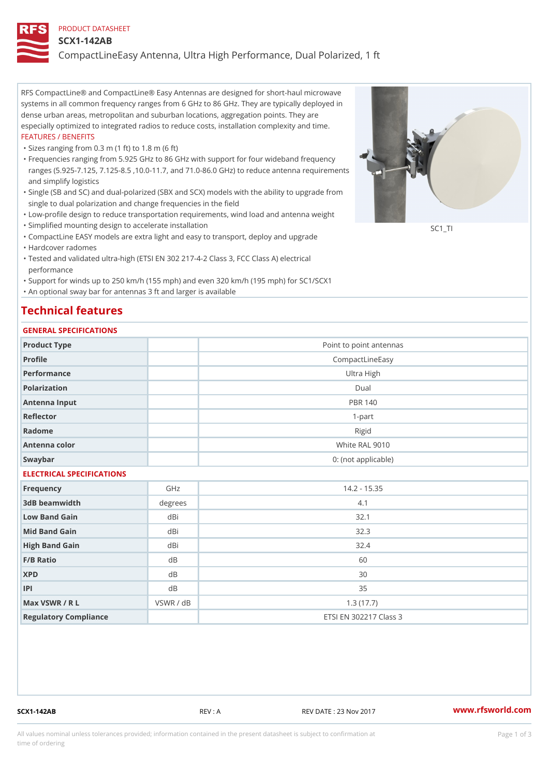### PRODUCT DATASHEET

### SCX1-142AB

CompactLineEasy Antenna, Ultra High Performance, Dual Polarized, 1 ft

RFS CompactLine® and CompactLine® Easy Antennas are designed for short-haul microwave systems in all common frequency ranges from 6 GHz to 86 GHz. They are typically deployed in dense urban areas, metropolitan and suburban locations, aggregation points. They are especially optimized to integrated radios to reduce costs, installation complexity and time. FEATURES / BENEFITS

"Sizes ranging from 0.3 m (1 ft) to 1.8 m (6 ft)

- Frequencies ranging from 5.925 GHz to 86 GHz with support for four wideband frequency " ranges (5.925-7.125, 7.125-8.5 ,10.0-11.7, and 71.0-86.0 GHz) to reduce antenna requirements and simplify logistics
- Single (SB and SC) and dual-polarized (SBX and SCX) models with the ability to upgrade from " single to dual polarization and change frequencies in the field
- "Low-profile design to reduce transportation requirements, wind load and antenna weight
- "Simplified mounting design to accelerate installation

 "CompactLine EASY models are extra light and easy to transport, deploy and upgrade "Hardcover radomes

Tested and validated ultra-high (ETSI EN 302 217-4-2 Class 3, FCC Class A) electrical " performance

 "Support for winds up to 250 km/h (155 mph) and even 320 km/h (195 mph) for SC1/SCX1 "An optional sway bar for antennas 3 ft and larger is available

## Technical features

### GENERAL SPECIFICATIONS

| 0 L N L N A L O L L O LL I O A L I O N O |           |                         |  |  |  |  |
|------------------------------------------|-----------|-------------------------|--|--|--|--|
| Product Type                             |           | Point to point antennas |  |  |  |  |
| Profile                                  |           | CompactLineEasy         |  |  |  |  |
| Performance                              |           | Ultra High              |  |  |  |  |
| Polarization                             |           | $D$ ual                 |  |  |  |  |
| Antenna Input                            |           | <b>PBR 140</b>          |  |  |  |  |
| Reflector                                |           | $1 - p$ art             |  |  |  |  |
| Radome                                   |           | Rigid                   |  |  |  |  |
| Antenna color                            |           | White RAL 9010          |  |  |  |  |
| Swaybar                                  |           | 0: (not applicable)     |  |  |  |  |
| ELECTRICAL SPECIFICATIONS                |           |                         |  |  |  |  |
| Frequency                                | GHz       | $14.2 - 15.35$          |  |  |  |  |
| 3dB beamwidth                            | degrees   | 4.1                     |  |  |  |  |
| Low Band Gain                            | dBi       | 32.1                    |  |  |  |  |
| Mid Band Gain                            | dBi       | 32.3                    |  |  |  |  |
| High Band Gain                           | dBi       | 32.4                    |  |  |  |  |
| $F/B$ Ratio                              | $d$ B     | 60                      |  |  |  |  |
| <b>XPD</b>                               | $d$ B     | 30                      |  |  |  |  |
| P                                        | d B       | 35                      |  |  |  |  |
| Max VSWR / R L                           | VSWR / dB | 1.3(17.7)               |  |  |  |  |
| Regulatory Compliance                    |           | ETSI EN 302217 Class 3  |  |  |  |  |

SCX1-142AB REV : A REV DATE : 23 Nov 2017 [www.](https://www.rfsworld.com)rfsworld.com

SC<sub>1</sub>TI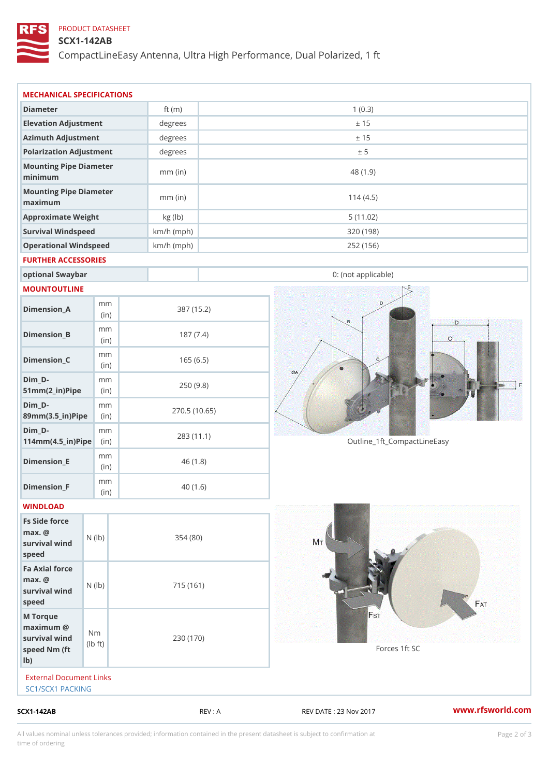## PRODUCT DATASHEET

## SCX1-142AB

CompactLineEasy Antenna, Ultra High Performance, Dual Polarized, 1 ft

| $SCX1 - 142AB$                                                     |                           |                         | REV : A    | REV DATE : 23 Nov 2017      | www.rfsworld.co |
|--------------------------------------------------------------------|---------------------------|-------------------------|------------|-----------------------------|-----------------|
| External Document Links<br>SC1/SCX1 PACKING                        |                           |                         |            |                             |                 |
| M Torque<br>$maximum$ @<br>survival wind<br>speed Nm (ft<br>$1b$ ) | N m<br>$1b$ $\uparrow$ t) | 230 (170)               |            | Forces 1ft SC               |                 |
| Fa Axial force<br>$max.$ @<br>survival wind (lb)<br>speed          |                           | 715 (161)               |            |                             |                 |
| Fs Side force<br>$max.$ @<br>survival $w \in N$ (lb)<br>speed      |                           | 354(80)                 |            |                             |                 |
| WINDLOAD                                                           |                           |                         |            |                             |                 |
| Dimension_F                                                        | m m<br>(in)               |                         | 40(1.6)    |                             |                 |
| $Dimension$ = E                                                    | m m<br>(i n)              |                         | 46(1.8)    |                             |                 |
| $Dim_D -$<br>$114$ m m (4.5 _ ir ) $\sqrt{$ ii p $\sqrt{ }$        | m m                       |                         | 283 (11.1) | Outline_1ft_CompactLineEasy |                 |
| $Dim_D - D -$<br>89mm (3.5_in) Pi(pine)                            | m m                       | 270.5(10.65)            |            |                             |                 |
| $Dim_D - D -$<br>$51mm(2_in)Pip@in$                                | m m                       |                         | 250(9.8)   |                             |                 |
| $Dimension_C$                                                      | m m<br>(in)               |                         | 165(6.5)   |                             |                 |
| $Dimension_B$                                                      | m m<br>(in)               |                         | 187(7.4)   |                             |                 |
| $Dimension_A$                                                      | m m<br>(in)               |                         | 387 (15.2) |                             |                 |
| MOUNTOUTLINE                                                       |                           |                         |            |                             |                 |
| optional Swaybar                                                   |                           |                         |            | 0: (not applicable)         |                 |
| FURTHER ACCESSORIES                                                |                           |                         |            |                             |                 |
| Operational Windspeed                                              |                           | $km/h$ (mph)            |            | 252 (156)                   |                 |
| Approximate Weight<br>Survival Windspeed                           |                           | kg (lb)<br>$km/h$ (mph) |            | 5(11.02)<br>320 (198)       |                 |
| Mounting Pipe Diameter<br>maximum                                  |                           | $mm$ (in)               |            | 114(4.5)                    |                 |
| Mounting Pipe Diameter<br>minimum                                  |                           | $mm$ (in)               |            | 48(1.9)                     |                 |
| Polarization Adjustment                                            |                           | degrees                 |            | ± 5                         |                 |
| Azimuth Adjustment                                                 |                           | $degree$ :              |            | ± 15                        |                 |
| Elevation Adjustment                                               |                           | degrees                 |            | ± 15                        |                 |
|                                                                    |                           | ft $(m)$                |            | 1(0.3)                      |                 |

All values nominal unless tolerances provided; information contained in the present datasheet is subject to Pcapgelio an atio time of ordering